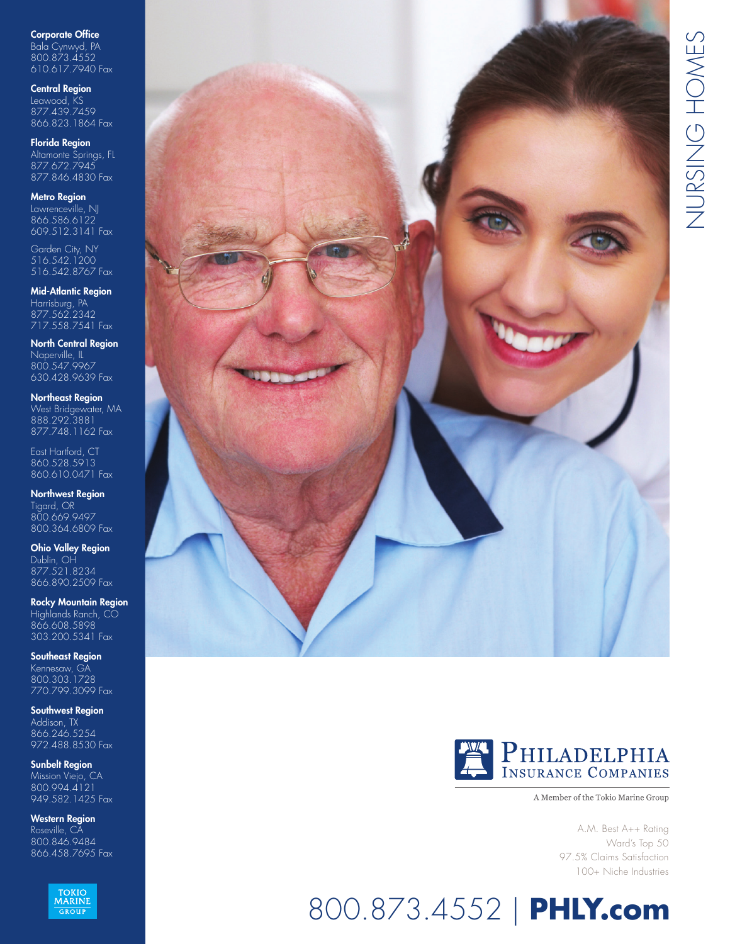Corporate Office Bala Cynwyd, PA 800.873.4552 610.617.7940 Fax

Central Region

Leawood, KS 877.439.7459 866.823.1864 Fax

Florida Region Altamonte Springs, FL 877.672.7945 877.846.4830 Fax

Metro Region

Lawrenceville, NJ 866.586.6122 609.512.3141 Fax

Garden City, NY 516.542.1200 516.542.8767 Fax

Mid-Atlantic Region Harrisburg, PA 877.562.2342 717.558.7541 Fax

North Central Region Naperville, IL 800.547.9967 630.428.9639 Fax

Northeast Region West Bridgewater, MA 888.292.3881 877.748.1162 Fax

East Hartford, CT 860.528.5913 860.610.0471 Fax

Northwest Region Tigard, OR 800.669.9497 800.364.6809 Fax

Ohio Valley Region Dublin, OH 877.521.8234 866.890.2509 Fax

Rocky Mountain Region Highlands Ranch, CO 866.608.5898 303.200.5341 Fax

Southeast Region Kennesaw, GA 800.303.1728 770.799.3099 Fax

Southwest Region Addison, TX 866.246.5254 972.488.8530 Fax

Sunbelt Region Mission Viejo, CA 800.994.4121 949.582.1425 Fax

Western Region Roseville, CA 800.846.9484 866.458.7695 Fax







A Member of the Tokio Marine Group

A.M. Best A++ Rating Ward's Top 50 97.5% Claims Satisfaction 100+ Niche Industries

# 800.873.4552 | **PHLY.com**